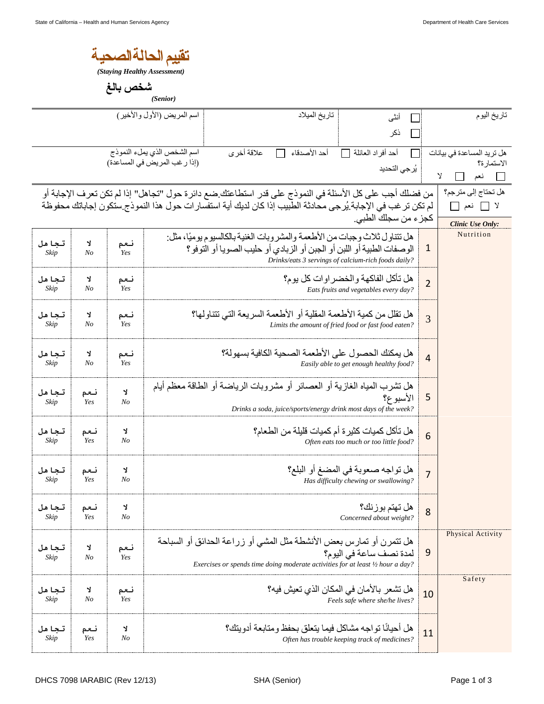| تقبيم الحالة الصحية |  |
|---------------------|--|
|                     |  |

*(Staying Healthy Assessment)* 

شخص بالغ

|                            |                                                                                                                                                                                                                                                                                                               |              | (Senior)                                                                                                                                                                                                        |                                                                                                                           |                   |                                                                                 |                |                                                                               |
|----------------------------|---------------------------------------------------------------------------------------------------------------------------------------------------------------------------------------------------------------------------------------------------------------------------------------------------------------|--------------|-----------------------------------------------------------------------------------------------------------------------------------------------------------------------------------------------------------------|---------------------------------------------------------------------------------------------------------------------------|-------------------|---------------------------------------------------------------------------------|----------------|-------------------------------------------------------------------------------|
| اسم المريض (الأول والأخير) |                                                                                                                                                                                                                                                                                                               |              |                                                                                                                                                                                                                 | تاريخ الميلاد                                                                                                             | أنثى<br>ПI<br>ذكر |                                                                                 | تاريخ اليوم    |                                                                               |
|                            |                                                                                                                                                                                                                                                                                                               |              | اسم الشخص الذي يملء النموذج<br>(إذا رغب المريض في المساعدة)                                                                                                                                                     | علاقة أخرى                                                                                                                | أحد الأصدقاء      | أحد أفراد العائلة<br>يُرجى التحديد                                              |                | هل تريد المساعدة في بيانات<br>الاستمارة؟<br>$\mathbf{y}$<br>$\Box$ نعم $\Box$ |
|                            | هل تحتاج إلى مترجم؟<br>من فضلك أجب على كل الأسئلة في النموذج على قدر استطاعتك ضع دائرة حول "تجاهل" إذا لم تكن تعرف الإجابة أو<br>لم تكن تر غب في الإجابة يُرجى محادثة الطبيب إذا كان لديك أية استفسار ات حول هذا النموذج ستكون إجاباتك محفوظة<br>لا □ نعم □<br>كجزء من سجلك الطبي.<br><b>Clinic Use Only:</b> |              |                                                                                                                                                                                                                 |                                                                                                                           |                   |                                                                                 |                |                                                                               |
| تجاهل<br>Skip              | Y<br>N <sub>O</sub>                                                                                                                                                                                                                                                                                           | نعم<br>Yes   | هل تنتاو ل ثلاث و جبات من الأطعمة والمشر وبات الغنية بالكالسيو م يو ميًا، مثل:<br>الوصفات الطبية أو اللبن أو الجبن أو الزبادي أو حليب الصويا أو التوفو ؟<br>Drinks/eats 3 servings of calcium-rich foods daily? |                                                                                                                           |                   |                                                                                 |                | Nutrition                                                                     |
| تجاهل<br>Skip              | Y<br>N <sub>O</sub>                                                                                                                                                                                                                                                                                           | نعم<br>Yes   |                                                                                                                                                                                                                 |                                                                                                                           |                   | هل تأكل الفاكهة و الخضر او ات كل يو م؟<br>Eats fruits and vegetables every day? | $\overline{2}$ |                                                                               |
| تجاهل<br>Skip              | Y<br>N <sub>O</sub>                                                                                                                                                                                                                                                                                           | نعم<br>Yes   |                                                                                                                                                                                                                 | هل نقلل من كمية الأطعمة المقلية أو الأطعمة السر يعة التي تتناولها؟<br>Limits the amount of fried food or fast food eaten? |                   |                                                                                 |                |                                                                               |
| تجاهل<br>Skip              | Y<br>N <sub>O</sub>                                                                                                                                                                                                                                                                                           | نعم<br>Yes   | هل يمكنك الحصول على الأطعمة الصحية الكافية بسهو لة؟<br>Easily able to get enough healthy food?                                                                                                                  |                                                                                                                           |                   |                                                                                 |                |                                                                               |
| تجاهل<br>Skip              | نعم<br>Yes                                                                                                                                                                                                                                                                                                    | J.<br>No     | هل تشرب المياه الغازية أو العصائر أو مشروبات الرياضة أو الطاقة معظم أيام<br>الأسبو ع؟<br>Drinks a soda, juice/sports/energy drink most days of the week?                                                        |                                                                                                                           |                   |                                                                                 |                |                                                                               |
| تجاهل<br>Skip              | نعم<br>Yes                                                                                                                                                                                                                                                                                                    | Y<br>$N_{O}$ | هل تأكل كميات كثير ة أم كميات قليلة من الطعام؟<br>Often eats too much or too little food?                                                                                                                       |                                                                                                                           |                   |                                                                                 |                |                                                                               |
| تجاهل<br>Skip              | نعم<br>Yes                                                                                                                                                                                                                                                                                                    | Y<br>No      | هل تواجه صعوبة في المضغ أو البلع؟<br>Has difficulty chewing or swallowing?                                                                                                                                      |                                                                                                                           |                   |                                                                                 |                |                                                                               |
| تجاهل<br>Skip              | نعم<br>Yes                                                                                                                                                                                                                                                                                                    | Y<br>No      | هل تهتم بوزنك؟<br>Concerned about weight?                                                                                                                                                                       |                                                                                                                           |                   |                                                                                 |                |                                                                               |
| تجاهل<br>Skip              | Y<br>N <sub>O</sub>                                                                                                                                                                                                                                                                                           | نعم<br>Yes   | هل تتمرن أو تمارس بعض الأنشطة مثل المشي أو زراعة الحدائق أو السباحة<br>لمدة نصف ساعة في اليوم؟<br>Exercises or spends time doing moderate activities for at least 1/2 hour a day?                               |                                                                                                                           |                   |                                                                                 |                | Physical Activity                                                             |
| تجاهل<br>Skip              | Y<br>N <sub>O</sub>                                                                                                                                                                                                                                                                                           | نعم<br>Yes   | هل تشعر بالأمان في المكان الذي تعيش فيه؟<br>Feels safe where she/he lives?                                                                                                                                      |                                                                                                                           |                   |                                                                                 |                | Safety                                                                        |
| تجاهل<br>Skip              | نعم<br>Yes                                                                                                                                                                                                                                                                                                    | Y<br>$N_{O}$ | هل أحيانًا تو اجه مشاكل فيما يتعلق بحفظ ومتابعة أدويتك؟<br>Often has trouble keeping track of medicines?                                                                                                        |                                                                                                                           |                   |                                                                                 |                |                                                                               |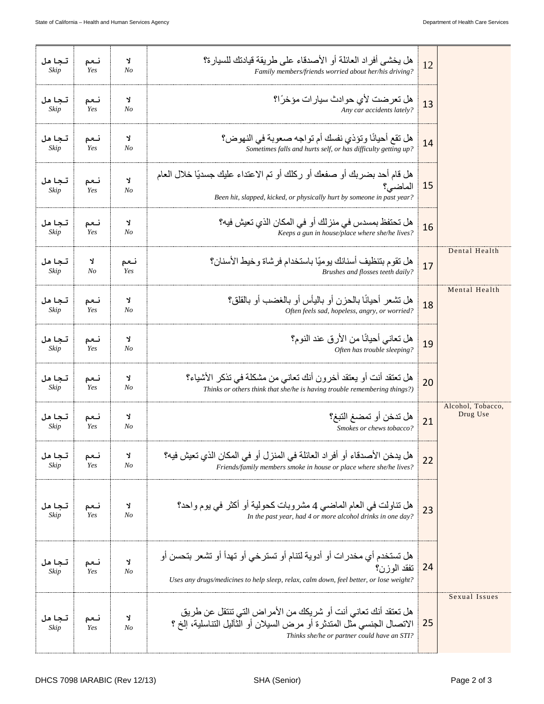|                               | 12 | هل يخشى أفر اد العائلة أو الأصدقاء على طريقة قيادتك للسيار ة؟<br>Family members/friends worried about her/his driving?                                                                  | Y.<br>No            | نعم<br>Yes | تجاهل<br>Skip |
|-------------------------------|----|-----------------------------------------------------------------------------------------------------------------------------------------------------------------------------------------|---------------------|------------|---------------|
|                               | 13 | هل تعرضت لأي حوادث سيار ات مؤخرًا؟<br>Any car accidents lately?                                                                                                                         | Y<br>N <sub>O</sub> | نعم<br>Yes | تجاهل<br>Skip |
|                               | 14 | هل نقع أحيانًا ونؤذي نفسك أم تواجه صعوبة في النهوض؟<br>Sometimes falls and hurts self, or has difficulty getting up?                                                                    | Y<br>N <sub>O</sub> | نعم<br>Yes | تجاهل<br>Skip |
|                               | 15 | هل قام أحد بضربك أو صفعك أو ركلك أو تم الاعتداء عليك جسديًا خلال العام<br>الماضي؟<br>Been hit, slapped, kicked, or physically hurt by someone in past year?                             | J.<br>No            | نعم<br>Yes | تجاهل<br>Skip |
|                               | 16 | هل تحتفظ بمسدس في منزلك أو في المكان الذي تعيش فيه؟<br>Keeps a gun in house/place where she/he lives?                                                                                   | Y<br>N <sub>O</sub> | نعم<br>Yes | تجاهل<br>Skip |
| Dental Health                 | 17 | هل نقوم بتنظيف أسنانك يوميًا باستخدام فرشاة وخيط الأسنان؟<br>Brushes and flosses teeth daily?                                                                                           | نعم<br>Yes          | Y<br>No    | تجاهل<br>Skip |
| Mental Health                 | 18 | هل تشعر أحيانًا بالحز ن أو باليأس أو بالغضب أو بالقلق؟<br>Often feels sad, hopeless, angry, or worried?                                                                                 | Y<br>No             | نعم<br>Yes | تجاهل<br>Skip |
|                               | 19 | هل تعاني أحيانًا من الأرق عند النوم؟<br>Often has trouble sleeping?                                                                                                                     | Y<br>No             | نعم<br>Yes | تجاهل<br>Skip |
|                               | 20 | هل تعتقد أنت أو يعتقد آخرون أنك تعاني من مشكلة في تذكر الأشياء؟<br>Thinks or others think that she/he is having trouble remembering things?)                                            | Y<br>No             | نعم<br>Yes | تجاهل<br>Skip |
| Alcohol, Tobacco,<br>Drug Use | 21 | هل تدخن أو تمضغ التبغ؟<br>Smokes or chews tobacco?                                                                                                                                      | Y<br>N <sub>O</sub> | نعم<br>Yes | تجاهل<br>Skip |
|                               | 22 | هل يدخن الأصدقاء أو أفر اد العائلة في المنز ل أو في المكان الذي تعيش فيه؟<br>Friends/family members smoke in house or place where she/he lives?                                         | Y<br>N <sub>O</sub> | نعم<br>Yes | تجاهل<br>Skip |
|                               | 23 | هل تناولت في العام الماضي 4 مشروبات كحولية أو أكثر في يوم واحد؟<br>In the past year, had 4 or more alcohol drinks in one day?                                                           | Y<br>N <sub>o</sub> | نعم<br>Yes | تجاهل<br>Skip |
|                               | 24 | هل تستخدم أي مخدر ات أو أدوية لتنام أو تسترخي أو تهدأ أو تشعر بتحسن أو<br>تفقد الوزن؟<br>Uses any drugs/medicines to help sleep, relax, calm down, feel better, or lose weight?         | J.<br>No            | نعم<br>Yes | تجاھل<br>Skip |
| Sexual Issues                 | 25 | هل تعتقد أنك تعاني أنت أو شريكك من الأمر اض التي تنتقل عن طريق<br>الاتصال الجنسي مثل المندثرة أو مرض السيلان أو الثآليل التناسلية، إلخ ؟<br>Thinks she/he or partner could have an STI? | Y<br>N <sub>O</sub> | نعم<br>Yes | تجاهل<br>Skip |